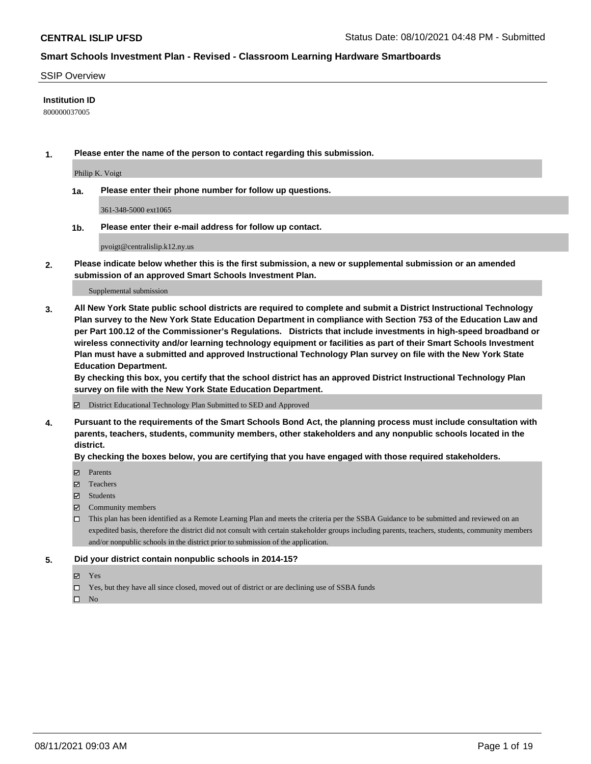### SSIP Overview

### **Institution ID**

800000037005

**1. Please enter the name of the person to contact regarding this submission.**

Philip K. Voigt

**1a. Please enter their phone number for follow up questions.**

361-348-5000 ext1065

**1b. Please enter their e-mail address for follow up contact.**

pvoigt@centralislip.k12.ny.us

**2. Please indicate below whether this is the first submission, a new or supplemental submission or an amended submission of an approved Smart Schools Investment Plan.**

#### Supplemental submission

**3. All New York State public school districts are required to complete and submit a District Instructional Technology Plan survey to the New York State Education Department in compliance with Section 753 of the Education Law and per Part 100.12 of the Commissioner's Regulations. Districts that include investments in high-speed broadband or wireless connectivity and/or learning technology equipment or facilities as part of their Smart Schools Investment Plan must have a submitted and approved Instructional Technology Plan survey on file with the New York State Education Department.** 

**By checking this box, you certify that the school district has an approved District Instructional Technology Plan survey on file with the New York State Education Department.**

District Educational Technology Plan Submitted to SED and Approved

**4. Pursuant to the requirements of the Smart Schools Bond Act, the planning process must include consultation with parents, teachers, students, community members, other stakeholders and any nonpublic schools located in the district.** 

### **By checking the boxes below, you are certifying that you have engaged with those required stakeholders.**

- **Parents**
- Teachers
- Students
- $\boxtimes$  Community members
- This plan has been identified as a Remote Learning Plan and meets the criteria per the SSBA Guidance to be submitted and reviewed on an expedited basis, therefore the district did not consult with certain stakeholder groups including parents, teachers, students, community members and/or nonpublic schools in the district prior to submission of the application.
- **5. Did your district contain nonpublic schools in 2014-15?**
	- Yes
	- □ Yes, but they have all since closed, moved out of district or are declining use of SSBA funds

 $\hfill \square$  No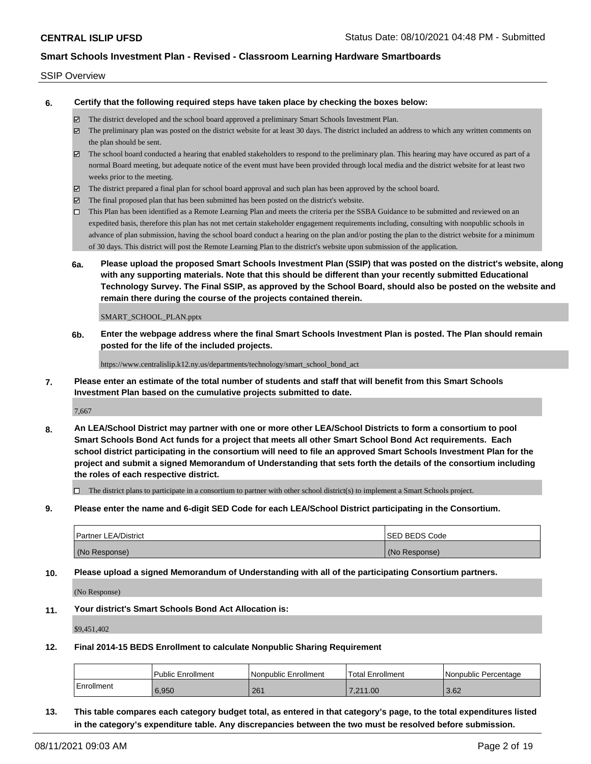### SSIP Overview

**6. Certify that the following required steps have taken place by checking the boxes below:**

- The district developed and the school board approved a preliminary Smart Schools Investment Plan.
- The preliminary plan was posted on the district website for at least 30 days. The district included an address to which any written comments on the plan should be sent.
- $\boxtimes$  The school board conducted a hearing that enabled stakeholders to respond to the preliminary plan. This hearing may have occured as part of a normal Board meeting, but adequate notice of the event must have been provided through local media and the district website for at least two weeks prior to the meeting.
- The district prepared a final plan for school board approval and such plan has been approved by the school board.
- $\boxtimes$  The final proposed plan that has been submitted has been posted on the district's website.
- This Plan has been identified as a Remote Learning Plan and meets the criteria per the SSBA Guidance to be submitted and reviewed on an expedited basis, therefore this plan has not met certain stakeholder engagement requirements including, consulting with nonpublic schools in advance of plan submission, having the school board conduct a hearing on the plan and/or posting the plan to the district website for a minimum of 30 days. This district will post the Remote Learning Plan to the district's website upon submission of the application.
- **6a. Please upload the proposed Smart Schools Investment Plan (SSIP) that was posted on the district's website, along with any supporting materials. Note that this should be different than your recently submitted Educational Technology Survey. The Final SSIP, as approved by the School Board, should also be posted on the website and remain there during the course of the projects contained therein.**

SMART\_SCHOOL\_PLAN.pptx

**6b. Enter the webpage address where the final Smart Schools Investment Plan is posted. The Plan should remain posted for the life of the included projects.**

https://www.centralislip.k12.ny.us/departments/technology/smart\_school\_bond\_act

**7. Please enter an estimate of the total number of students and staff that will benefit from this Smart Schools Investment Plan based on the cumulative projects submitted to date.**

7,667

**8. An LEA/School District may partner with one or more other LEA/School Districts to form a consortium to pool Smart Schools Bond Act funds for a project that meets all other Smart School Bond Act requirements. Each school district participating in the consortium will need to file an approved Smart Schools Investment Plan for the project and submit a signed Memorandum of Understanding that sets forth the details of the consortium including the roles of each respective district.**

 $\Box$  The district plans to participate in a consortium to partner with other school district(s) to implement a Smart Schools project.

**9. Please enter the name and 6-digit SED Code for each LEA/School District participating in the Consortium.**

| <b>Partner LEA/District</b> | <b>ISED BEDS Code</b> |
|-----------------------------|-----------------------|
| (No Response)               | (No Response)         |

**10. Please upload a signed Memorandum of Understanding with all of the participating Consortium partners.**

(No Response)

**11. Your district's Smart Schools Bond Act Allocation is:**

\$9,451,402

**12. Final 2014-15 BEDS Enrollment to calculate Nonpublic Sharing Requirement**

|            | Public Enrollment | Nonpublic Enrollment | Total Enrollment | I Nonpublic Percentage |
|------------|-------------------|----------------------|------------------|------------------------|
| Enrollment | 6.950             | 261                  | 7.211.00         | 3.62                   |

**13. This table compares each category budget total, as entered in that category's page, to the total expenditures listed in the category's expenditure table. Any discrepancies between the two must be resolved before submission.**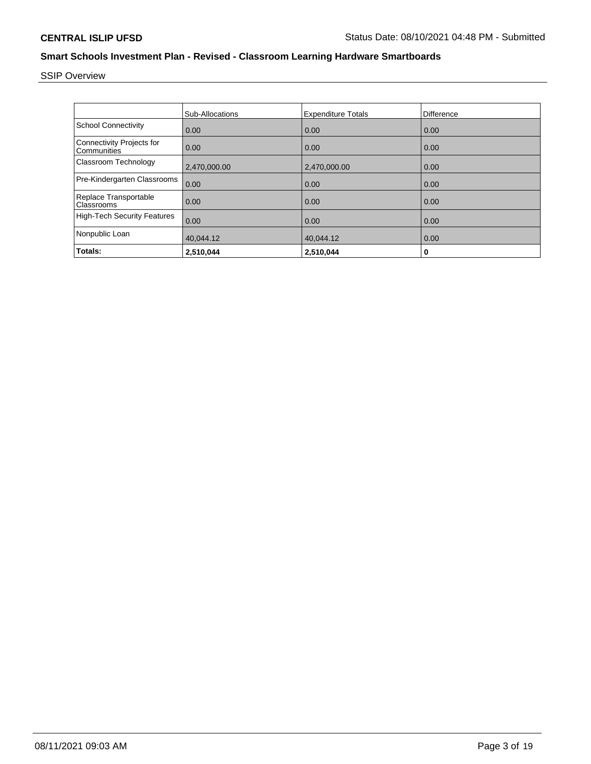SSIP Overview

|                                                 | <b>Sub-Allocations</b> | <b>Expenditure Totals</b> | <b>Difference</b> |
|-------------------------------------------------|------------------------|---------------------------|-------------------|
| <b>School Connectivity</b>                      | 0.00                   | 0.00                      | 0.00              |
| <b>Connectivity Projects for</b><br>Communities | 0.00                   | 0.00                      | 0.00              |
| Classroom Technology                            | 2,470,000.00           | 2,470,000.00              | 0.00              |
| Pre-Kindergarten Classrooms                     | 0.00                   | 0.00                      | 0.00              |
| Replace Transportable<br>Classrooms             | 0.00                   | 0.00                      | 0.00              |
| <b>High-Tech Security Features</b>              | 0.00                   | 0.00                      | 0.00              |
| Nonpublic Loan                                  | 40,044.12              | 40,044.12                 | 0.00              |
| Totals:                                         | 2,510,044              | 2,510,044                 | 0                 |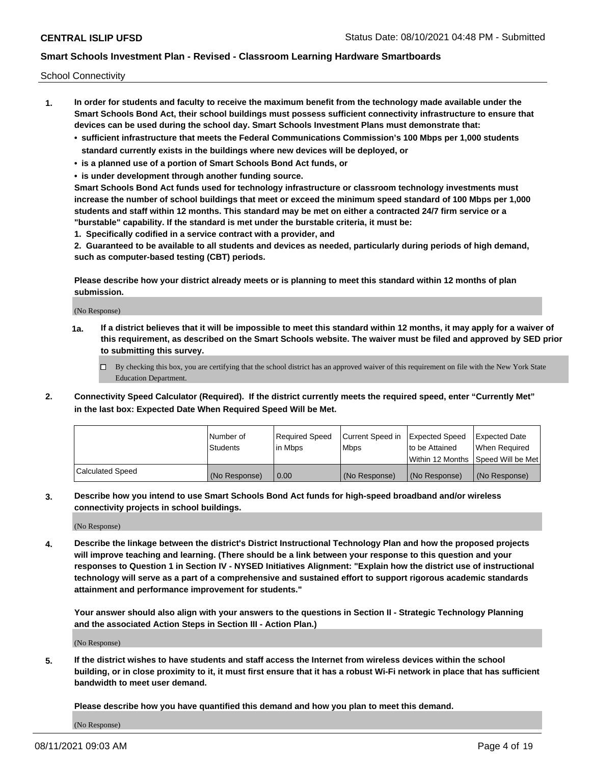School Connectivity

- **1. In order for students and faculty to receive the maximum benefit from the technology made available under the Smart Schools Bond Act, their school buildings must possess sufficient connectivity infrastructure to ensure that devices can be used during the school day. Smart Schools Investment Plans must demonstrate that:**
	- **• sufficient infrastructure that meets the Federal Communications Commission's 100 Mbps per 1,000 students standard currently exists in the buildings where new devices will be deployed, or**
	- **• is a planned use of a portion of Smart Schools Bond Act funds, or**
	- **• is under development through another funding source.**

**Smart Schools Bond Act funds used for technology infrastructure or classroom technology investments must increase the number of school buildings that meet or exceed the minimum speed standard of 100 Mbps per 1,000 students and staff within 12 months. This standard may be met on either a contracted 24/7 firm service or a "burstable" capability. If the standard is met under the burstable criteria, it must be:**

**1. Specifically codified in a service contract with a provider, and**

**2. Guaranteed to be available to all students and devices as needed, particularly during periods of high demand, such as computer-based testing (CBT) periods.**

**Please describe how your district already meets or is planning to meet this standard within 12 months of plan submission.**

(No Response)

**1a. If a district believes that it will be impossible to meet this standard within 12 months, it may apply for a waiver of this requirement, as described on the Smart Schools website. The waiver must be filed and approved by SED prior to submitting this survey.**

 $\Box$  By checking this box, you are certifying that the school district has an approved waiver of this requirement on file with the New York State Education Department.

**2. Connectivity Speed Calculator (Required). If the district currently meets the required speed, enter "Currently Met" in the last box: Expected Date When Required Speed Will be Met.**

|                  | l Number of     | Required Speed | Current Speed in | Expected Speed | Expected Date                        |
|------------------|-----------------|----------------|------------------|----------------|--------------------------------------|
|                  | <b>Students</b> | In Mbps        | <b>Mbps</b>      | to be Attained | When Required                        |
|                  |                 |                |                  |                | Within 12 Months 1Speed Will be Met1 |
| Calculated Speed | (No Response)   | 0.00           | (No Response)    | (No Response)  | l (No Response)                      |

**3. Describe how you intend to use Smart Schools Bond Act funds for high-speed broadband and/or wireless connectivity projects in school buildings.**

(No Response)

**4. Describe the linkage between the district's District Instructional Technology Plan and how the proposed projects will improve teaching and learning. (There should be a link between your response to this question and your responses to Question 1 in Section IV - NYSED Initiatives Alignment: "Explain how the district use of instructional technology will serve as a part of a comprehensive and sustained effort to support rigorous academic standards attainment and performance improvement for students."** 

**Your answer should also align with your answers to the questions in Section II - Strategic Technology Planning and the associated Action Steps in Section III - Action Plan.)**

(No Response)

**5. If the district wishes to have students and staff access the Internet from wireless devices within the school building, or in close proximity to it, it must first ensure that it has a robust Wi-Fi network in place that has sufficient bandwidth to meet user demand.**

**Please describe how you have quantified this demand and how you plan to meet this demand.**

(No Response)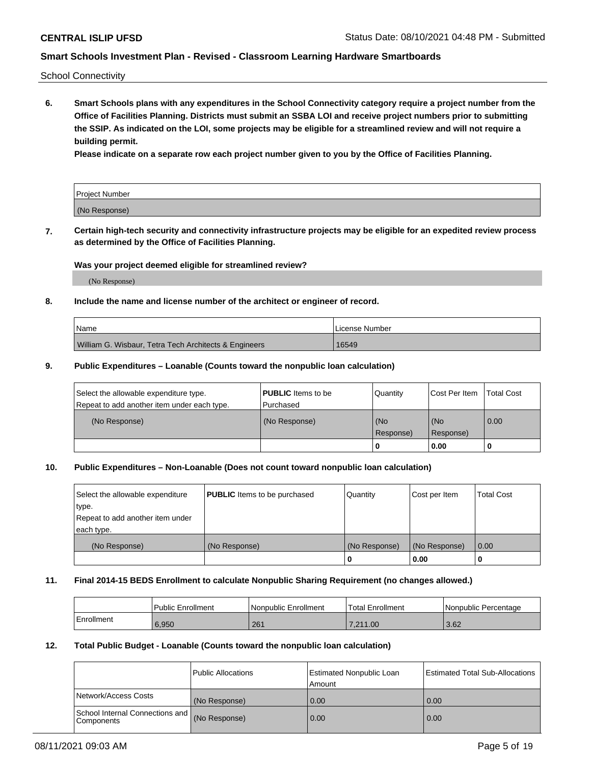School Connectivity

**6. Smart Schools plans with any expenditures in the School Connectivity category require a project number from the Office of Facilities Planning. Districts must submit an SSBA LOI and receive project numbers prior to submitting the SSIP. As indicated on the LOI, some projects may be eligible for a streamlined review and will not require a building permit.**

**Please indicate on a separate row each project number given to you by the Office of Facilities Planning.**

| Project Number |  |
|----------------|--|
| (No Response)  |  |

**7. Certain high-tech security and connectivity infrastructure projects may be eligible for an expedited review process as determined by the Office of Facilities Planning.**

### **Was your project deemed eligible for streamlined review?**

(No Response)

### **8. Include the name and license number of the architect or engineer of record.**

| <b>Name</b>                                           | I License Number |
|-------------------------------------------------------|------------------|
| William G. Wisbaur, Tetra Tech Architects & Engineers | 16549            |

### **9. Public Expenditures – Loanable (Counts toward the nonpublic loan calculation)**

| Select the allowable expenditure type.<br>Repeat to add another item under each type. | <b>PUBLIC</b> Items to be<br>l Purchased | Quantity         | l Cost Per Item  | <b>Total Cost</b> |
|---------------------------------------------------------------------------------------|------------------------------------------|------------------|------------------|-------------------|
| (No Response)                                                                         | (No Response)                            | (No<br>Response) | (No<br>Response) | 0.00              |
|                                                                                       |                                          | 0                | 0.00             |                   |

### **10. Public Expenditures – Non-Loanable (Does not count toward nonpublic loan calculation)**

| Select the allowable expenditure<br>type.      | <b>PUBLIC</b> Items to be purchased | Quantity      | Cost per Item | <b>Total Cost</b> |
|------------------------------------------------|-------------------------------------|---------------|---------------|-------------------|
| Repeat to add another item under<br>each type. |                                     |               |               |                   |
| (No Response)                                  | (No Response)                       | (No Response) | (No Response) | 0.00              |
|                                                |                                     |               | 0.00          |                   |

#### **11. Final 2014-15 BEDS Enrollment to calculate Nonpublic Sharing Requirement (no changes allowed.)**

|            | Public Enrollment | l Nonpublic Enrollment | <b>Total Enrollment</b> | Nonpublic Percentage |
|------------|-------------------|------------------------|-------------------------|----------------------|
| Enrollment | 6.950             | 261                    | 7.211.00                | 3.62                 |

### **12. Total Public Budget - Loanable (Counts toward the nonpublic loan calculation)**

|                                                      | Public Allocations | <b>Estimated Nonpublic Loan</b><br>Amount | Estimated Total Sub-Allocations |
|------------------------------------------------------|--------------------|-------------------------------------------|---------------------------------|
| Network/Access Costs                                 | (No Response)      | 0.00                                      | 0.00                            |
| School Internal Connections and<br><b>Components</b> | (No Response)      | 0.00                                      | 0.00                            |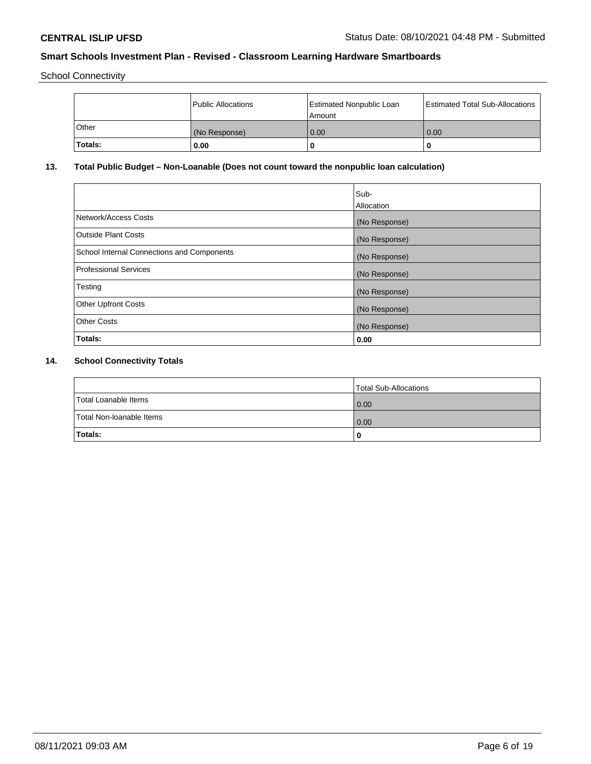School Connectivity

|              | Public Allocations | <b>Estimated Nonpublic Loan</b><br>Amount | <b>Estimated Total Sub-Allocations</b> |
|--------------|--------------------|-------------------------------------------|----------------------------------------|
| <b>Other</b> | (No Response)      | 0.00                                      | 0.00                                   |
| Totals:      | 0.00               |                                           | 0                                      |

# **13. Total Public Budget – Non-Loanable (Does not count toward the nonpublic loan calculation)**

| Sub-<br>Allocation |
|--------------------|
| (No Response)      |
| (No Response)      |
| (No Response)      |
| (No Response)      |
| (No Response)      |
| (No Response)      |
| (No Response)      |
| 0.00               |
|                    |

# **14. School Connectivity Totals**

|                          | Total Sub-Allocations |
|--------------------------|-----------------------|
| Total Loanable Items     | 0.00                  |
| Total Non-Ioanable Items | 0.00                  |
| Totals:                  | 0                     |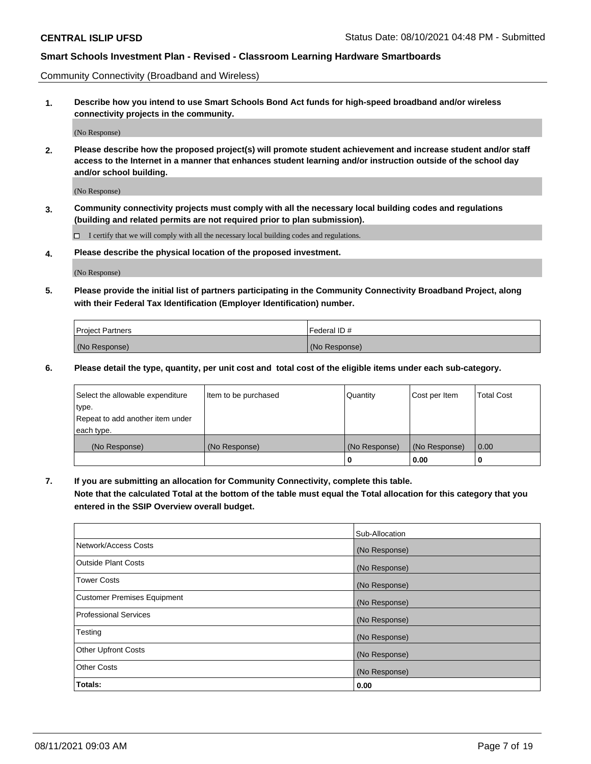Community Connectivity (Broadband and Wireless)

**1. Describe how you intend to use Smart Schools Bond Act funds for high-speed broadband and/or wireless connectivity projects in the community.**

(No Response)

**2. Please describe how the proposed project(s) will promote student achievement and increase student and/or staff access to the Internet in a manner that enhances student learning and/or instruction outside of the school day and/or school building.**

(No Response)

**3. Community connectivity projects must comply with all the necessary local building codes and regulations (building and related permits are not required prior to plan submission).**

 $\Box$  I certify that we will comply with all the necessary local building codes and regulations.

**4. Please describe the physical location of the proposed investment.**

(No Response)

**5. Please provide the initial list of partners participating in the Community Connectivity Broadband Project, along with their Federal Tax Identification (Employer Identification) number.**

| <b>Project Partners</b> | l Federal ID # |
|-------------------------|----------------|
| (No Response)           | (No Response)  |

**6. Please detail the type, quantity, per unit cost and total cost of the eligible items under each sub-category.**

| Select the allowable expenditure | Item to be purchased | Quantity      | Cost per Item | <b>Total Cost</b> |
|----------------------------------|----------------------|---------------|---------------|-------------------|
| type.                            |                      |               |               |                   |
| Repeat to add another item under |                      |               |               |                   |
| each type.                       |                      |               |               |                   |
| (No Response)                    | (No Response)        | (No Response) | (No Response) | 0.00              |
|                                  |                      | o             | 0.00          |                   |

**7. If you are submitting an allocation for Community Connectivity, complete this table.**

**Note that the calculated Total at the bottom of the table must equal the Total allocation for this category that you entered in the SSIP Overview overall budget.**

|                                    | Sub-Allocation |
|------------------------------------|----------------|
| Network/Access Costs               | (No Response)  |
| Outside Plant Costs                | (No Response)  |
| <b>Tower Costs</b>                 | (No Response)  |
| <b>Customer Premises Equipment</b> | (No Response)  |
| <b>Professional Services</b>       | (No Response)  |
| Testing                            | (No Response)  |
| <b>Other Upfront Costs</b>         | (No Response)  |
| <b>Other Costs</b>                 | (No Response)  |
| Totals:                            | 0.00           |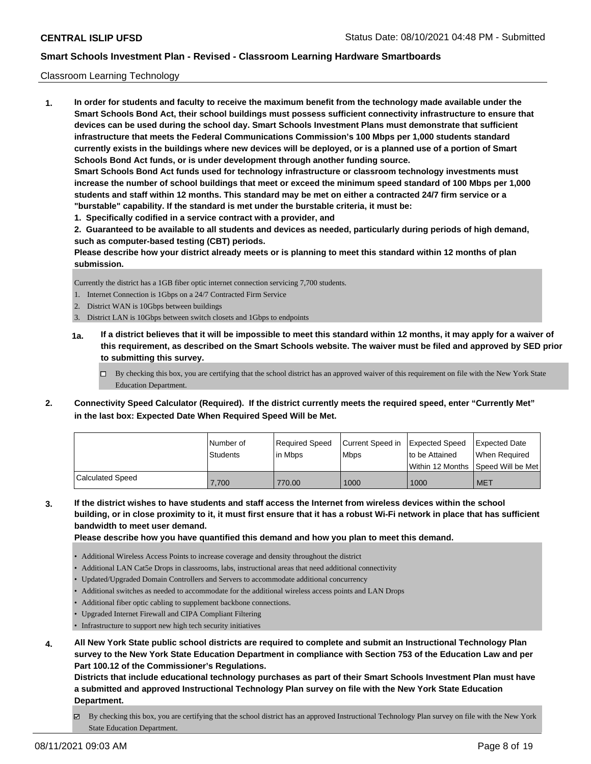### Classroom Learning Technology

**1. In order for students and faculty to receive the maximum benefit from the technology made available under the Smart Schools Bond Act, their school buildings must possess sufficient connectivity infrastructure to ensure that devices can be used during the school day. Smart Schools Investment Plans must demonstrate that sufficient infrastructure that meets the Federal Communications Commission's 100 Mbps per 1,000 students standard currently exists in the buildings where new devices will be deployed, or is a planned use of a portion of Smart Schools Bond Act funds, or is under development through another funding source. Smart Schools Bond Act funds used for technology infrastructure or classroom technology investments must increase the number of school buildings that meet or exceed the minimum speed standard of 100 Mbps per 1,000 students and staff within 12 months. This standard may be met on either a contracted 24/7 firm service or a "burstable" capability. If the standard is met under the burstable criteria, it must be:**

**1. Specifically codified in a service contract with a provider, and**

**2. Guaranteed to be available to all students and devices as needed, particularly during periods of high demand, such as computer-based testing (CBT) periods.**

**Please describe how your district already meets or is planning to meet this standard within 12 months of plan submission.**

Currently the district has a 1GB fiber optic internet connection servicing 7,700 students.

- 1. Internet Connection is 1Gbps on a 24/7 Contracted Firm Service
- 2. District WAN is 10Gbps between buildings
- 3. District LAN is 10Gbps between switch closets and 1Gbps to endpoints
- **1a. If a district believes that it will be impossible to meet this standard within 12 months, it may apply for a waiver of this requirement, as described on the Smart Schools website. The waiver must be filed and approved by SED prior to submitting this survey.**
	- □ By checking this box, you are certifying that the school district has an approved waiver of this requirement on file with the New York State Education Department.
- **2. Connectivity Speed Calculator (Required). If the district currently meets the required speed, enter "Currently Met" in the last box: Expected Date When Required Speed Will be Met.**

|                  | l Number of<br><b>Students</b> | l Reauired Speed<br>l in Mbps | Current Speed in<br><b>Mbps</b> | Expected Speed<br>to be Attained<br>Within 12 Months ISpeed Will be Met | Expected Date<br>When Required |
|------------------|--------------------------------|-------------------------------|---------------------------------|-------------------------------------------------------------------------|--------------------------------|
| Calculated Speed | 7,700                          | 770.00                        | 1000                            | 1000                                                                    | <b>MET</b>                     |

**3. If the district wishes to have students and staff access the Internet from wireless devices within the school building, or in close proximity to it, it must first ensure that it has a robust Wi-Fi network in place that has sufficient bandwidth to meet user demand.**

**Please describe how you have quantified this demand and how you plan to meet this demand.**

- Additional Wireless Access Points to increase coverage and density throughout the district
- Additional LAN Cat5e Drops in classrooms, labs, instructional areas that need additional connectivity
- Updated/Upgraded Domain Controllers and Servers to accommodate additional concurrency
- Additional switches as needed to accommodate for the additional wireless access points and LAN Drops
- Additional fiber optic cabling to supplement backbone connections.
- Upgraded Internet Firewall and CIPA Compliant Filtering
- Infrastructure to support new high tech security initiatives
- **4. All New York State public school districts are required to complete and submit an Instructional Technology Plan survey to the New York State Education Department in compliance with Section 753 of the Education Law and per Part 100.12 of the Commissioner's Regulations.**

**Districts that include educational technology purchases as part of their Smart Schools Investment Plan must have a submitted and approved Instructional Technology Plan survey on file with the New York State Education Department.**

By checking this box, you are certifying that the school district has an approved Instructional Technology Plan survey on file with the New York State Education Department.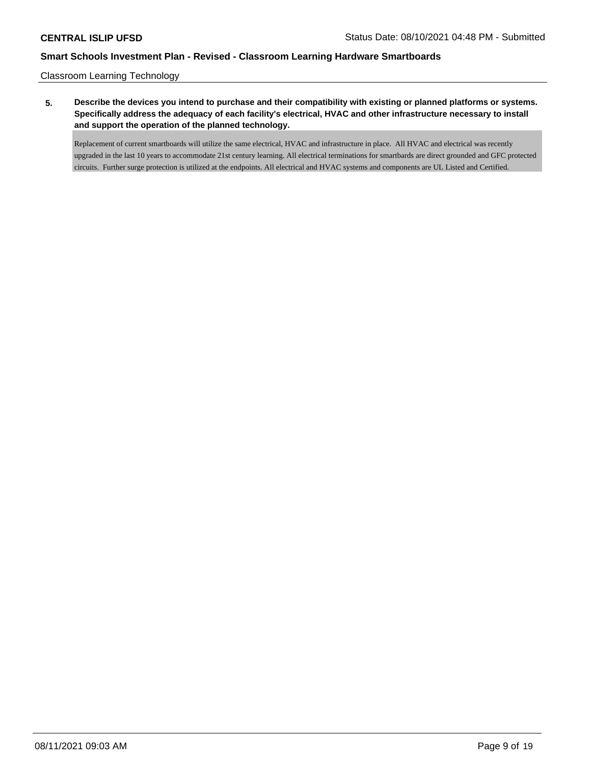Classroom Learning Technology

**5. Describe the devices you intend to purchase and their compatibility with existing or planned platforms or systems. Specifically address the adequacy of each facility's electrical, HVAC and other infrastructure necessary to install and support the operation of the planned technology.**

Replacement of current smartboards will utilize the same electrical, HVAC and infrastructure in place. All HVAC and electrical was recently upgraded in the last 10 years to accommodate 21st century learning. All electrical terminations for smartbards are direct grounded and GFC protected circuits. Further surge protection is utilized at the endpoints. All electrical and HVAC systems and components are UL Listed and Certified.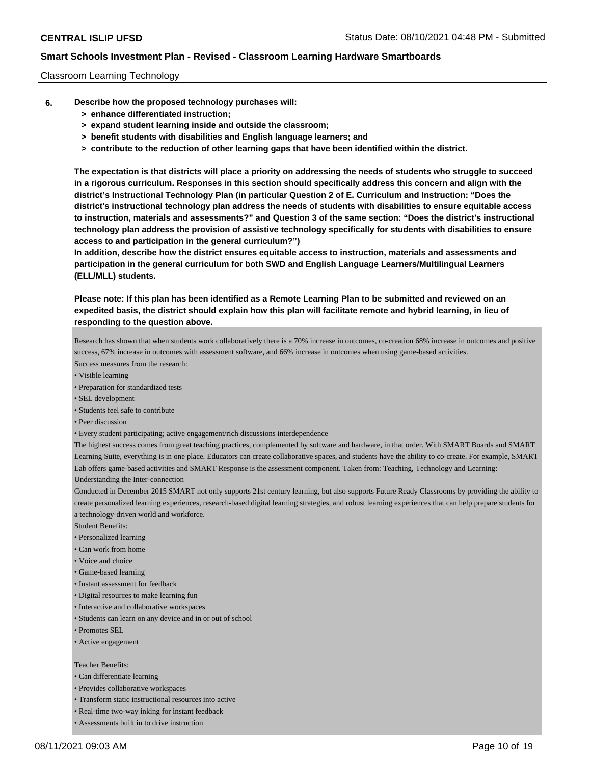### Classroom Learning Technology

- **6. Describe how the proposed technology purchases will:**
	- **> enhance differentiated instruction;**
	- **> expand student learning inside and outside the classroom;**
	- **> benefit students with disabilities and English language learners; and**
	- **> contribute to the reduction of other learning gaps that have been identified within the district.**

**The expectation is that districts will place a priority on addressing the needs of students who struggle to succeed in a rigorous curriculum. Responses in this section should specifically address this concern and align with the district's Instructional Technology Plan (in particular Question 2 of E. Curriculum and Instruction: "Does the district's instructional technology plan address the needs of students with disabilities to ensure equitable access to instruction, materials and assessments?" and Question 3 of the same section: "Does the district's instructional technology plan address the provision of assistive technology specifically for students with disabilities to ensure access to and participation in the general curriculum?")**

**In addition, describe how the district ensures equitable access to instruction, materials and assessments and participation in the general curriculum for both SWD and English Language Learners/Multilingual Learners (ELL/MLL) students.**

**Please note: If this plan has been identified as a Remote Learning Plan to be submitted and reviewed on an expedited basis, the district should explain how this plan will facilitate remote and hybrid learning, in lieu of responding to the question above.**

Research has shown that when students work collaboratively there is a 70% increase in outcomes, co-creation 68% increase in outcomes and positive success, 67% increase in outcomes with assessment software, and 66% increase in outcomes when using game-based activities.

- Success measures from the research:
- Visible learning
- Preparation for standardized tests
- SEL development
- Students feel safe to contribute
- Peer discussion
- Every student participating; active engagement/rich discussions interdependence

The highest success comes from great teaching practices, complemented by software and hardware, in that order. With SMART Boards and SMART Learning Suite, everything is in one place. Educators can create collaborative spaces, and students have the ability to co-create. For example, SMART Lab offers game-based activities and SMART Response is the assessment component. Taken from: Teaching, Technology and Learning: Understanding the Inter-connection

Conducted in December 2015 SMART not only supports 21st century learning, but also supports Future Ready Classrooms by providing the ability to create personalized learning experiences, research-based digital learning strategies, and robust learning experiences that can help prepare students for a technology-driven world and workforce.

- Student Benefits:
- Personalized learning
- Can work from home
- Voice and choice
- Game-based learning
- Instant assessment for feedback
- Digital resources to make learning fun
- Interactive and collaborative workspaces
- Students can learn on any device and in or out of school
- Promotes SEL
- Active engagement

#### Teacher Benefits:

- Can differentiate learning
- Provides collaborative workspaces
- Transform static instructional resources into active
- Real-time two-way inking for instant feedback
- Assessments built in to drive instruction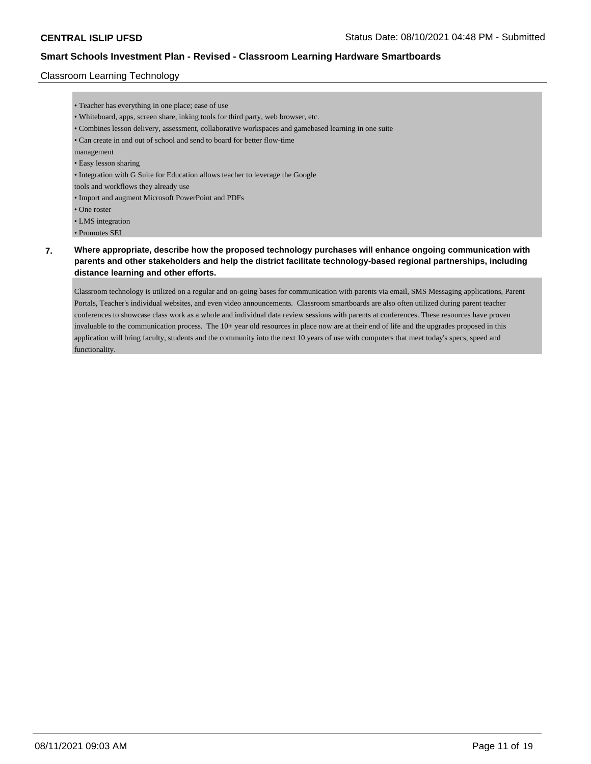### Classroom Learning Technology

- Teacher has everything in one place; ease of use • Whiteboard, apps, screen share, inking tools for third party, web browser, etc. • Combines lesson delivery, assessment, collaborative workspaces and gamebased learning in one suite • Can create in and out of school and send to board for better flow-time management • Easy lesson sharing • Integration with G Suite for Education allows teacher to leverage the Google tools and workflows they already use • Import and augment Microsoft PowerPoint and PDFs • One roster • LMS integration
- Promotes SEL

# **7. Where appropriate, describe how the proposed technology purchases will enhance ongoing communication with parents and other stakeholders and help the district facilitate technology-based regional partnerships, including distance learning and other efforts.**

Classroom technology is utilized on a regular and on-going bases for communication with parents via email, SMS Messaging applications, Parent Portals, Teacher's individual websites, and even video announcements. Classroom smartboards are also often utilized during parent teacher conferences to showcase class work as a whole and individual data review sessions with parents at conferences. These resources have proven invaluable to the communication process. The 10+ year old resources in place now are at their end of life and the upgrades proposed in this application will bring faculty, students and the community into the next 10 years of use with computers that meet today's specs, speed and functionality.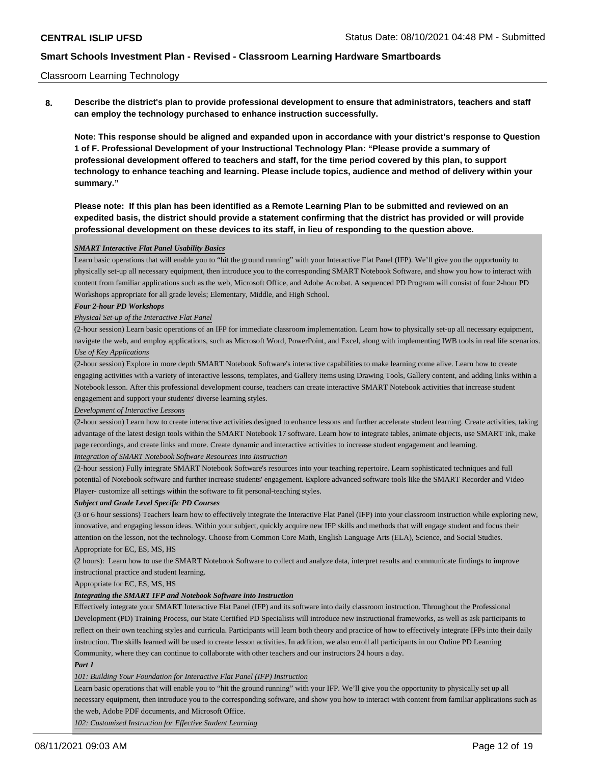### Classroom Learning Technology

**8. Describe the district's plan to provide professional development to ensure that administrators, teachers and staff can employ the technology purchased to enhance instruction successfully.**

**Note: This response should be aligned and expanded upon in accordance with your district's response to Question 1 of F. Professional Development of your Instructional Technology Plan: "Please provide a summary of professional development offered to teachers and staff, for the time period covered by this plan, to support technology to enhance teaching and learning. Please include topics, audience and method of delivery within your summary."**

**Please note: If this plan has been identified as a Remote Learning Plan to be submitted and reviewed on an expedited basis, the district should provide a statement confirming that the district has provided or will provide professional development on these devices to its staff, in lieu of responding to the question above.**

### *SMART Interactive Flat Panel Usability Basics*

Learn basic operations that will enable you to "hit the ground running" with your Interactive Flat Panel (IFP). We'll give you the opportunity to physically set-up all necessary equipment, then introduce you to the corresponding SMART Notebook Software, and show you how to interact with content from familiar applications such as the web, Microsoft Office, and Adobe Acrobat. A sequenced PD Program will consist of four 2-hour PD Workshops appropriate for all grade levels; Elementary, Middle, and High School.

#### *Four 2-hour PD Workshops*

#### *Physical Set-up of the Interactive Flat Panel*

(2-hour session) Learn basic operations of an IFP for immediate classroom implementation. Learn how to physically set-up all necessary equipment, navigate the web, and employ applications, such as Microsoft Word, PowerPoint, and Excel, along with implementing IWB tools in real life scenarios. *Use of Key Applications*

(2-hour session) Explore in more depth SMART Notebook Software's interactive capabilities to make learning come alive. Learn how to create engaging activities with a variety of interactive lessons, templates, and Gallery items using Drawing Tools, Gallery content, and adding links within a Notebook lesson. After this professional development course, teachers can create interactive SMART Notebook activities that increase student engagement and support your students' diverse learning styles.

#### *Development of Interactive Lessons*

(2-hour session) Learn how to create interactive activities designed to enhance lessons and further accelerate student learning. Create activities, taking advantage of the latest design tools within the SMART Notebook 17 software. Learn how to integrate tables, animate objects, use SMART ink, make page recordings, and create links and more. Create dynamic and interactive activities to increase student engagement and learning.

### *Integration of SMART Notebook Software Resources into Instruction*

(2-hour session) Fully integrate SMART Notebook Software's resources into your teaching repertoire. Learn sophisticated techniques and full potential of Notebook software and further increase students' engagement. Explore advanced software tools like the SMART Recorder and Video Player- customize all settings within the software to fit personal-teaching styles.

#### *Subject and Grade Level Specific PD Courses*

(3 or 6 hour sessions) Teachers learn how to effectively integrate the Interactive Flat Panel (IFP) into your classroom instruction while exploring new, innovative, and engaging lesson ideas. Within your subject, quickly acquire new IFP skills and methods that will engage student and focus their attention on the lesson, not the technology. Choose from Common Core Math, English Language Arts (ELA), Science, and Social Studies. Appropriate for EC, ES, MS, HS

(2 hours): Learn how to use the SMART Notebook Software to collect and analyze data, interpret results and communicate findings to improve instructional practice and student learning.

Appropriate for EC, ES, MS, HS

### *Integrating the SMART IFP and Notebook Software into Instruction*

Effectively integrate your SMART Interactive Flat Panel (IFP) and its software into daily classroom instruction. Throughout the Professional Development (PD) Training Process, our State Certified PD Specialists will introduce new instructional frameworks, as well as ask participants to reflect on their own teaching styles and curricula. Participants will learn both theory and practice of how to effectively integrate IFPs into their daily instruction. The skills learned will be used to create lesson activities. In addition, we also enroll all participants in our Online PD Learning Community, where they can continue to collaborate with other teachers and our instructors 24 hours a day.

### *Part 1*

#### *101: Building Your Foundation for Interactive Flat Panel (IFP) Instruction*

Learn basic operations that will enable you to "hit the ground running" with your IFP. We'll give you the opportunity to physically set up all necessary equipment, then introduce you to the corresponding software, and show you how to interact with content from familiar applications such as the web, Adobe PDF documents, and Microsoft Office.

*102: Customized Instruction for Effective Student Learning*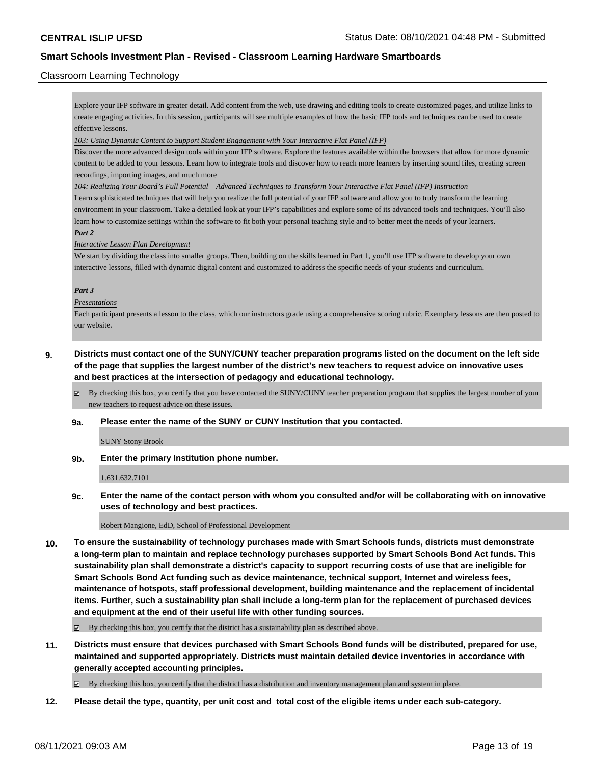### Classroom Learning Technology

Explore your IFP software in greater detail. Add content from the web, use drawing and editing tools to create customized pages, and utilize links to create engaging activities. In this session, participants will see multiple examples of how the basic IFP tools and techniques can be used to create effective lessons.

#### *103: Using Dynamic Content to Support Student Engagement with Your Interactive Flat Panel (IFP)*

Discover the more advanced design tools within your IFP software. Explore the features available within the browsers that allow for more dynamic content to be added to your lessons. Learn how to integrate tools and discover how to reach more learners by inserting sound files, creating screen recordings, importing images, and much more

*104: Realizing Your Board's Full Potential – Advanced Techniques to Transform Your Interactive Flat Panel (IFP) Instruction*

Learn sophisticated techniques that will help you realize the full potential of your IFP software and allow you to truly transform the learning environment in your classroom. Take a detailed look at your IFP's capabilities and explore some of its advanced tools and techniques. You'll also learn how to customize settings within the software to fit both your personal teaching style and to better meet the needs of your learners. *Part 2*

### *Interactive Lesson Plan Development*

We start by dividing the class into smaller groups. Then, building on the skills learned in Part 1, you'll use IFP software to develop your own interactive lessons, filled with dynamic digital content and customized to address the specific needs of your students and curriculum.

#### *Part 3*

#### *Presentations*

Each participant presents a lesson to the class, which our instructors grade using a comprehensive scoring rubric. Exemplary lessons are then posted to our website.

## **9. Districts must contact one of the SUNY/CUNY teacher preparation programs listed on the document on the left side of the page that supplies the largest number of the district's new teachers to request advice on innovative uses and best practices at the intersection of pedagogy and educational technology.**

By checking this box, you certify that you have contacted the SUNY/CUNY teacher preparation program that supplies the largest number of your new teachers to request advice on these issues.

#### **9a. Please enter the name of the SUNY or CUNY Institution that you contacted.**

SUNY Stony Brook

**9b. Enter the primary Institution phone number.**

1.631.632.7101

**9c. Enter the name of the contact person with whom you consulted and/or will be collaborating with on innovative uses of technology and best practices.**

Robert Mangione, EdD, School of Professional Development

**10. To ensure the sustainability of technology purchases made with Smart Schools funds, districts must demonstrate a long-term plan to maintain and replace technology purchases supported by Smart Schools Bond Act funds. This sustainability plan shall demonstrate a district's capacity to support recurring costs of use that are ineligible for Smart Schools Bond Act funding such as device maintenance, technical support, Internet and wireless fees, maintenance of hotspots, staff professional development, building maintenance and the replacement of incidental items. Further, such a sustainability plan shall include a long-term plan for the replacement of purchased devices and equipment at the end of their useful life with other funding sources.**

 $\boxtimes$  By checking this box, you certify that the district has a sustainability plan as described above.

**11. Districts must ensure that devices purchased with Smart Schools Bond funds will be distributed, prepared for use, maintained and supported appropriately. Districts must maintain detailed device inventories in accordance with generally accepted accounting principles.**

By checking this box, you certify that the district has a distribution and inventory management plan and system in place.

**12. Please detail the type, quantity, per unit cost and total cost of the eligible items under each sub-category.**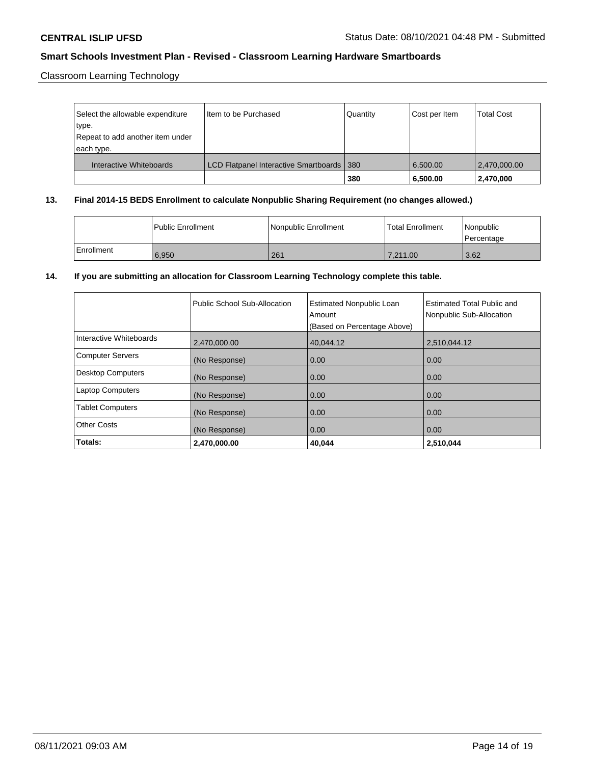Classroom Learning Technology

| Select the allowable expenditure<br>type.<br>Repeat to add another item under | I Item to be Purchased                      | Quantity | Cost per Item | <b>Total Cost</b> |
|-------------------------------------------------------------------------------|---------------------------------------------|----------|---------------|-------------------|
| each type.<br>Interactive Whiteboards                                         | LCD Flatpanel Interactive Smartboards   380 |          | 6.500.00      | 2,470,000.00      |
|                                                                               |                                             | 380      | 6,500.00      | 2,470,000         |

### **13. Final 2014-15 BEDS Enrollment to calculate Nonpublic Sharing Requirement (no changes allowed.)**

|            | l Public Enrollment | Nonpublic Enrollment | <b>Total Enrollment</b> | Nonpublic<br>Percentage |
|------------|---------------------|----------------------|-------------------------|-------------------------|
| Enrollment | 6,950               | 261                  | 7.211.00                | 3.62                    |

# **14. If you are submitting an allocation for Classroom Learning Technology complete this table.**

|                          | Public School Sub-Allocation | <b>Estimated Nonpublic Loan</b><br>Amount<br>(Based on Percentage Above) | <b>Estimated Total Public and</b><br>Nonpublic Sub-Allocation |
|--------------------------|------------------------------|--------------------------------------------------------------------------|---------------------------------------------------------------|
| Interactive Whiteboards  | 2.470.000.00                 | 40.044.12                                                                | 2.510.044.12                                                  |
| Computer Servers         | (No Response)                | 0.00                                                                     | 0.00                                                          |
| <b>Desktop Computers</b> | (No Response)                | 0.00                                                                     | 0.00                                                          |
| <b>Laptop Computers</b>  | (No Response)                | 0.00                                                                     | 0.00                                                          |
| <b>Tablet Computers</b>  | (No Response)                | 0.00                                                                     | 0.00                                                          |
| <b>Other Costs</b>       | (No Response)                | 0.00                                                                     | 0.00                                                          |
| Totals:                  | 2,470,000.00                 | 40.044                                                                   | 2,510,044                                                     |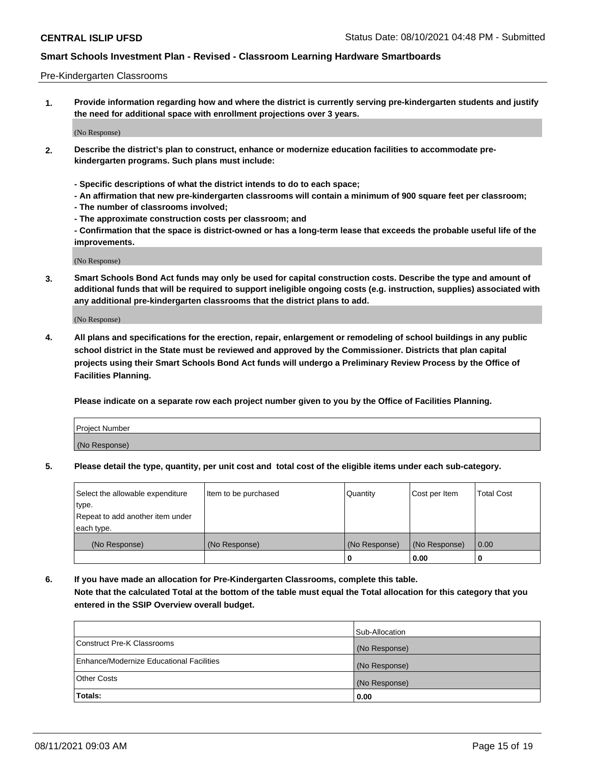### Pre-Kindergarten Classrooms

**1. Provide information regarding how and where the district is currently serving pre-kindergarten students and justify the need for additional space with enrollment projections over 3 years.**

(No Response)

- **2. Describe the district's plan to construct, enhance or modernize education facilities to accommodate prekindergarten programs. Such plans must include:**
	- **Specific descriptions of what the district intends to do to each space;**
	- **An affirmation that new pre-kindergarten classrooms will contain a minimum of 900 square feet per classroom;**
	- **The number of classrooms involved;**
	- **The approximate construction costs per classroom; and**
	- **Confirmation that the space is district-owned or has a long-term lease that exceeds the probable useful life of the improvements.**

(No Response)

**3. Smart Schools Bond Act funds may only be used for capital construction costs. Describe the type and amount of additional funds that will be required to support ineligible ongoing costs (e.g. instruction, supplies) associated with any additional pre-kindergarten classrooms that the district plans to add.**

(No Response)

**4. All plans and specifications for the erection, repair, enlargement or remodeling of school buildings in any public school district in the State must be reviewed and approved by the Commissioner. Districts that plan capital projects using their Smart Schools Bond Act funds will undergo a Preliminary Review Process by the Office of Facilities Planning.**

**Please indicate on a separate row each project number given to you by the Office of Facilities Planning.**

| Project Number |  |
|----------------|--|
| (No Response)  |  |
|                |  |

**5. Please detail the type, quantity, per unit cost and total cost of the eligible items under each sub-category.**

| Select the allowable expenditure | Item to be purchased | Quantity      | Cost per Item | <b>Total Cost</b> |
|----------------------------------|----------------------|---------------|---------------|-------------------|
| type.                            |                      |               |               |                   |
| Repeat to add another item under |                      |               |               |                   |
| each type.                       |                      |               |               |                   |
| (No Response)                    | (No Response)        | (No Response) | (No Response) | 0.00              |
|                                  |                      | υ             | 0.00          |                   |

**6. If you have made an allocation for Pre-Kindergarten Classrooms, complete this table. Note that the calculated Total at the bottom of the table must equal the Total allocation for this category that you entered in the SSIP Overview overall budget.**

|                                          | Sub-Allocation |
|------------------------------------------|----------------|
| Construct Pre-K Classrooms               | (No Response)  |
| Enhance/Modernize Educational Facilities | (No Response)  |
| <b>Other Costs</b>                       | (No Response)  |
| Totals:                                  | 0.00           |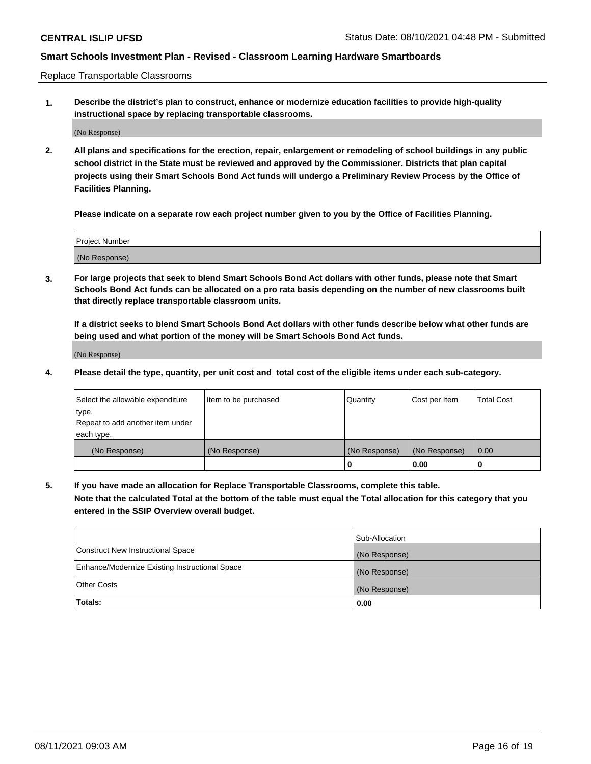Replace Transportable Classrooms

**1. Describe the district's plan to construct, enhance or modernize education facilities to provide high-quality instructional space by replacing transportable classrooms.**

(No Response)

**2. All plans and specifications for the erection, repair, enlargement or remodeling of school buildings in any public school district in the State must be reviewed and approved by the Commissioner. Districts that plan capital projects using their Smart Schools Bond Act funds will undergo a Preliminary Review Process by the Office of Facilities Planning.**

**Please indicate on a separate row each project number given to you by the Office of Facilities Planning.**

| Project Number |  |
|----------------|--|
|                |  |
|                |  |
|                |  |
|                |  |
| (No Response)  |  |
|                |  |
|                |  |
|                |  |

**3. For large projects that seek to blend Smart Schools Bond Act dollars with other funds, please note that Smart Schools Bond Act funds can be allocated on a pro rata basis depending on the number of new classrooms built that directly replace transportable classroom units.**

**If a district seeks to blend Smart Schools Bond Act dollars with other funds describe below what other funds are being used and what portion of the money will be Smart Schools Bond Act funds.**

(No Response)

**4. Please detail the type, quantity, per unit cost and total cost of the eligible items under each sub-category.**

| Select the allowable expenditure | Item to be purchased | Quantity      | Cost per Item | Total Cost |
|----------------------------------|----------------------|---------------|---------------|------------|
| ∣type.                           |                      |               |               |            |
| Repeat to add another item under |                      |               |               |            |
| each type.                       |                      |               |               |            |
| (No Response)                    | (No Response)        | (No Response) | (No Response) | 0.00       |
|                                  |                      | u             | 0.00          |            |

**5. If you have made an allocation for Replace Transportable Classrooms, complete this table. Note that the calculated Total at the bottom of the table must equal the Total allocation for this category that you entered in the SSIP Overview overall budget.**

|                                                | Sub-Allocation |
|------------------------------------------------|----------------|
| Construct New Instructional Space              | (No Response)  |
| Enhance/Modernize Existing Instructional Space | (No Response)  |
| Other Costs                                    | (No Response)  |
| Totals:                                        | 0.00           |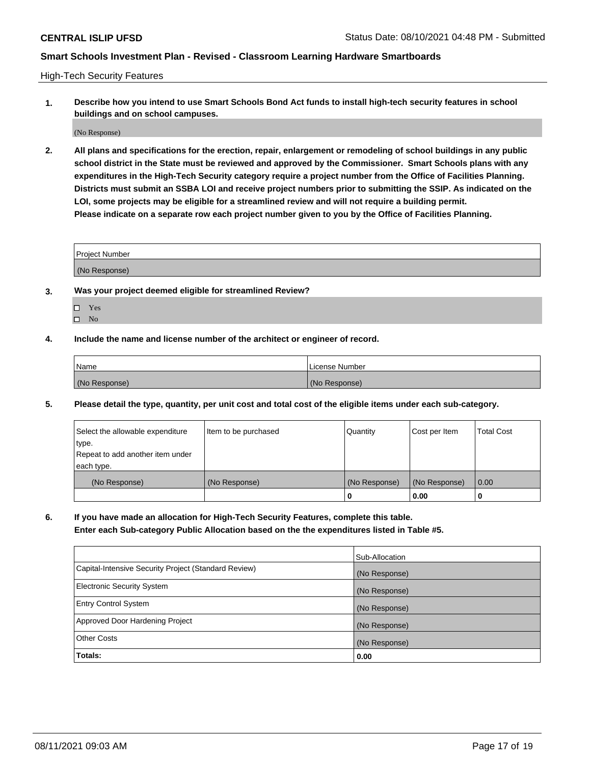High-Tech Security Features

**1. Describe how you intend to use Smart Schools Bond Act funds to install high-tech security features in school buildings and on school campuses.**

(No Response)

**2. All plans and specifications for the erection, repair, enlargement or remodeling of school buildings in any public school district in the State must be reviewed and approved by the Commissioner. Smart Schools plans with any expenditures in the High-Tech Security category require a project number from the Office of Facilities Planning. Districts must submit an SSBA LOI and receive project numbers prior to submitting the SSIP. As indicated on the LOI, some projects may be eligible for a streamlined review and will not require a building permit. Please indicate on a separate row each project number given to you by the Office of Facilities Planning.**

| <b>Project Number</b> |  |
|-----------------------|--|
|                       |  |
| (No Response)         |  |

- **3. Was your project deemed eligible for streamlined Review?**
	- Yes
	- $\hfill \square$  No
- **4. Include the name and license number of the architect or engineer of record.**

| <b>Name</b>   | License Number |
|---------------|----------------|
| (No Response) | (No Response)  |

**5. Please detail the type, quantity, per unit cost and total cost of the eligible items under each sub-category.**

| Select the allowable expenditure | Item to be purchased | Quantity      | Cost per Item | <b>Total Cost</b> |
|----------------------------------|----------------------|---------------|---------------|-------------------|
| type.                            |                      |               |               |                   |
| Repeat to add another item under |                      |               |               |                   |
| each type.                       |                      |               |               |                   |
| (No Response)                    | (No Response)        | (No Response) | (No Response) | 0.00              |
|                                  |                      | 0             | 0.00          |                   |

**6. If you have made an allocation for High-Tech Security Features, complete this table.**

**Enter each Sub-category Public Allocation based on the the expenditures listed in Table #5.**

|                                                      | Sub-Allocation |
|------------------------------------------------------|----------------|
| Capital-Intensive Security Project (Standard Review) | (No Response)  |
| <b>Electronic Security System</b>                    | (No Response)  |
| <b>Entry Control System</b>                          | (No Response)  |
| Approved Door Hardening Project                      | (No Response)  |
| <b>Other Costs</b>                                   | (No Response)  |
| Totals:                                              | 0.00           |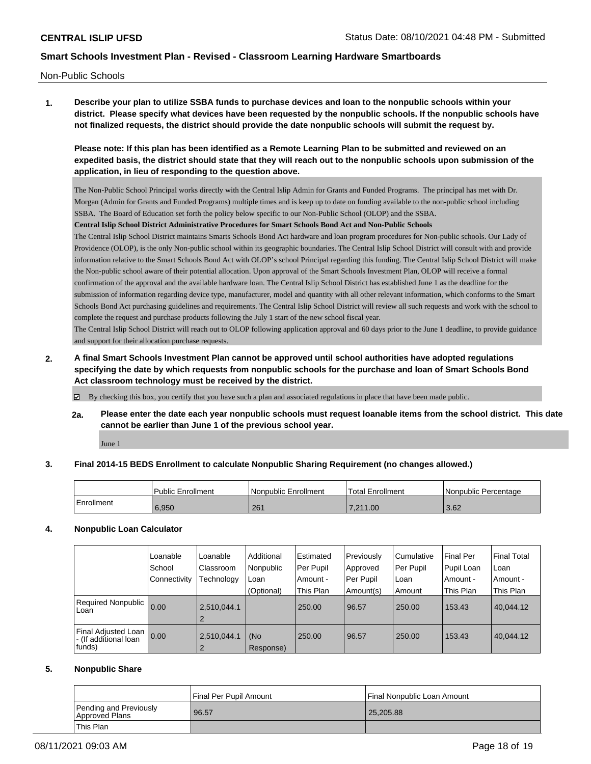Non-Public Schools

**1. Describe your plan to utilize SSBA funds to purchase devices and loan to the nonpublic schools within your district. Please specify what devices have been requested by the nonpublic schools. If the nonpublic schools have not finalized requests, the district should provide the date nonpublic schools will submit the request by.**

**Please note: If this plan has been identified as a Remote Learning Plan to be submitted and reviewed on an expedited basis, the district should state that they will reach out to the nonpublic schools upon submission of the application, in lieu of responding to the question above.**

The Non-Public School Principal works directly with the Central Islip Admin for Grants and Funded Programs. The principal has met with Dr. Morgan (Admin for Grants and Funded Programs) multiple times and is keep up to date on funding available to the non-public school including SSBA. The Board of Education set forth the policy below specific to our Non-Public School (OLOP) and the SSBA.

**Central Islip School District Administrative Procedures for Smart Schools Bond Act and Non-Public Schools**

The Central Islip School District maintains Smarts Schools Bond Act hardware and loan program procedures for Non-public schools. Our Lady of Providence (OLOP), is the only Non-public school within its geographic boundaries. The Central Islip School District will consult with and provide information relative to the Smart Schools Bond Act with OLOP's school Principal regarding this funding. The Central Islip School District will make the Non-public school aware of their potential allocation. Upon approval of the Smart Schools Investment Plan, OLOP will receive a formal confirmation of the approval and the available hardware loan. The Central Islip School District has established June 1 as the deadline for the submission of information regarding device type, manufacturer, model and quantity with all other relevant information, which conforms to the Smart Schools Bond Act purchasing guidelines and requirements. The Central Islip School District will review all such requests and work with the school to complete the request and purchase products following the July 1 start of the new school fiscal year.

The Central Islip School District will reach out to OLOP following application approval and 60 days prior to the June 1 deadline, to provide guidance and support for their allocation purchase requests.

**2. A final Smart Schools Investment Plan cannot be approved until school authorities have adopted regulations specifying the date by which requests from nonpublic schools for the purchase and loan of Smart Schools Bond Act classroom technology must be received by the district.**

By checking this box, you certify that you have such a plan and associated regulations in place that have been made public.

**2a. Please enter the date each year nonpublic schools must request loanable items from the school district. This date cannot be earlier than June 1 of the previous school year.**

June 1

### **3. Final 2014-15 BEDS Enrollment to calculate Nonpublic Sharing Requirement (no changes allowed.)**

|            | <b>Public Enrollment</b> | Nonpublic Enrollment | <b>Total Enrollment</b> | Nonpublic Percentage |
|------------|--------------------------|----------------------|-------------------------|----------------------|
| Enrollment | 6,950                    | 261                  | 7.211.00                | 3.62                 |

#### **4. Nonpublic Loan Calculator**

|                                                        | Loanable<br>School | Loanable<br>Classroom         | Additional<br>Nonpublic | Estimated<br>Per Pupil | Previously<br>Approved | l Cumulative<br>Per Pupil | <b>Final Per</b><br>Pupil Loan | <b>Final Total</b><br>Loan |
|--------------------------------------------------------|--------------------|-------------------------------|-------------------------|------------------------|------------------------|---------------------------|--------------------------------|----------------------------|
|                                                        | Connectivity       | Technology                    | Loan                    | Amount -               | Per Pupil              | Loan                      | Amount -                       | Amount -                   |
|                                                        |                    |                               | (Optional)              | This Plan              | Amount(s)              | Amount                    | This Plan                      | This Plan                  |
| <b>Required Nonpublic</b><br>Loan                      | 0.00               | 2,510,044.1<br>$\overline{2}$ |                         | 250.00                 | 96.57                  | 250.00                    | 153.43                         | 40.044.12                  |
| Final Adjusted Loan<br>- (If additional loan<br>funds) | 0.00               | 2,510,044.1<br>$\overline{2}$ | l (No<br>Response)      | 250.00                 | 96.57                  | 250.00                    | 153.43                         | 40,044.12                  |

#### **5. Nonpublic Share**

|                                          | l Final Per Pupil Amount | Final Nonpublic Loan Amount |
|------------------------------------------|--------------------------|-----------------------------|
| Pending and Previously<br>Approved Plans | 96.57                    | 25,205.88                   |
| <b>This Plan</b>                         |                          |                             |